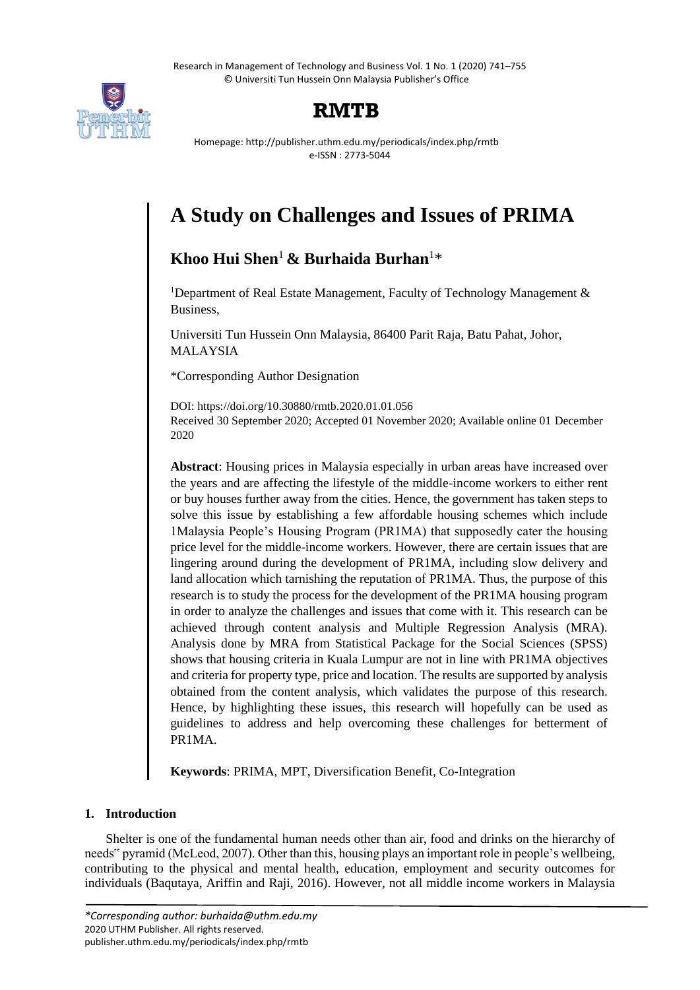Research in Management of Technology and Business Vol. 1 No. 1 (2020) 741–755 © Universiti Tun Hussein Onn Malaysia Publisher's Office



## **RMTB**

Homepage: http://publisher.uthm.edu.my/periodicals/index.php/rmtb e-ISSN : 2773-5044

# **A Study on Challenges and Issues of PRIMA**

## **Khoo Hui Shen**<sup>1</sup> **& Burhaida Burhan**<sup>1</sup>\*

<sup>1</sup>Department of Real Estate Management, Faculty of Technology Management  $\&$ Business,

Universiti Tun Hussein Onn Malaysia, 86400 Parit Raja, Batu Pahat, Johor, MALAYSIA

\*Corresponding Author Designation

DOI: https://doi.org/10.30880/rmtb.2020.01.01.056 Received 30 September 2020; Accepted 01 November 2020; Available online 01 December 2020

**Abstract**: Housing prices in Malaysia especially in urban areas have increased over the years and are affecting the lifestyle of the middle-income workers to either rent or buy houses further away from the cities. Hence, the government has taken steps to solve this issue by establishing a few affordable housing schemes which include 1Malaysia People's Housing Program (PR1MA) that supposedly cater the housing price level for the middle-income workers. However, there are certain issues that are lingering around during the development of PR1MA, including slow delivery and land allocation which tarnishing the reputation of PR1MA. Thus, the purpose of this research is to study the process for the development of the PR1MA housing program in order to analyze the challenges and issues that come with it. This research can be achieved through content analysis and Multiple Regression Analysis (MRA). Analysis done by MRA from Statistical Package for the Social Sciences (SPSS) shows that housing criteria in Kuala Lumpur are not in line with PR1MA objectives and criteria for property type, price and location. The results are supported by analysis obtained from the content analysis, which validates the purpose of this research. Hence, by highlighting these issues, this research will hopefully can be used as guidelines to address and help overcoming these challenges for betterment of PR1MA.

**Keywords**: PRIMA, MPT, Diversification Benefit, Co-Integration

### **1. Introduction**

Shelter is one of the fundamental human needs other than air, food and drinks on the hierarchy of needs" pyramid (McLeod, 2007). Other than this, housing plays an important role in people's wellbeing, contributing to the physical and mental health, education, employment and security outcomes for individuals (Baqutaya, Ariffin and Raji, 2016). However, not all middle income workers in Malaysia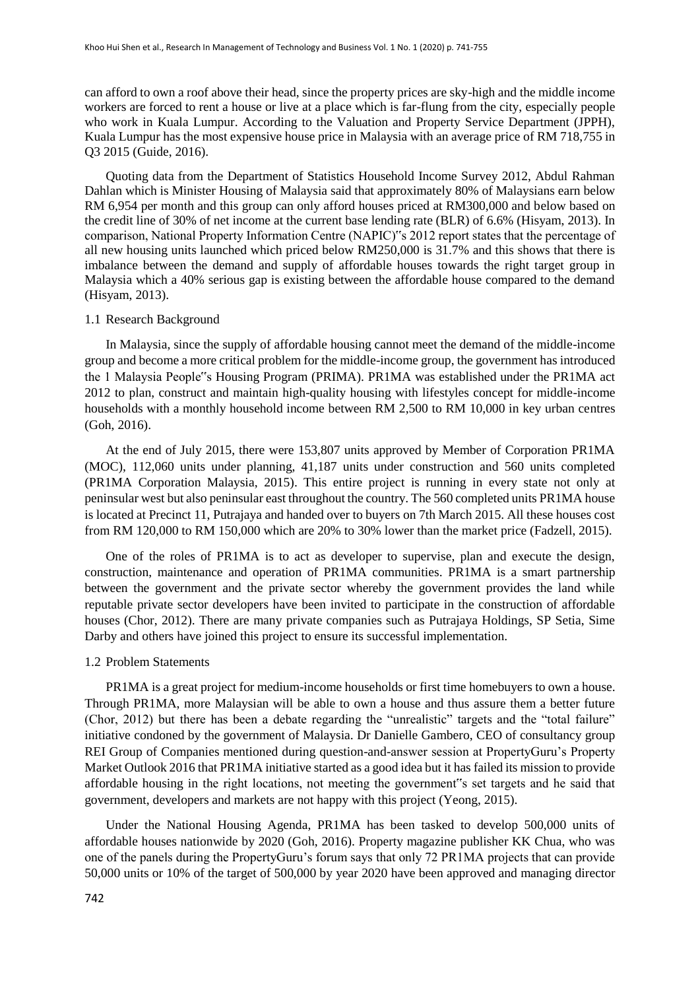can afford to own a roof above their head, since the property prices are sky-high and the middle income workers are forced to rent a house or live at a place which is far-flung from the city, especially people who work in Kuala Lumpur. According to the Valuation and Property Service Department (JPPH), Kuala Lumpur has the most expensive house price in Malaysia with an average price of RM 718,755 in Q3 2015 (Guide, 2016).

Quoting data from the Department of Statistics Household Income Survey 2012, Abdul Rahman Dahlan which is Minister Housing of Malaysia said that approximately 80% of Malaysians earn below RM 6,954 per month and this group can only afford houses priced at RM300,000 and below based on the credit line of 30% of net income at the current base lending rate (BLR) of 6.6% (Hisyam, 2013). In comparison, National Property Information Centre (NAPIC)"s 2012 report states that the percentage of all new housing units launched which priced below RM250,000 is 31.7% and this shows that there is imbalance between the demand and supply of affordable houses towards the right target group in Malaysia which a 40% serious gap is existing between the affordable house compared to the demand (Hisyam, 2013).

#### 1.1 Research Background

In Malaysia, since the supply of affordable housing cannot meet the demand of the middle-income group and become a more critical problem for the middle-income group, the government has introduced the 1 Malaysia People"s Housing Program (PRIMA). PR1MA was established under the PR1MA act 2012 to plan, construct and maintain high-quality housing with lifestyles concept for middle-income households with a monthly household income between RM 2,500 to RM 10,000 in key urban centres (Goh, 2016).

At the end of July 2015, there were 153,807 units approved by Member of Corporation PR1MA (MOC), 112,060 units under planning, 41,187 units under construction and 560 units completed (PR1MA Corporation Malaysia, 2015). This entire project is running in every state not only at peninsular west but also peninsular east throughout the country. The 560 completed units PR1MA house is located at Precinct 11, Putrajaya and handed over to buyers on 7th March 2015. All these houses cost from RM 120,000 to RM 150,000 which are 20% to 30% lower than the market price (Fadzell, 2015).

One of the roles of PR1MA is to act as developer to supervise, plan and execute the design, construction, maintenance and operation of PR1MA communities. PR1MA is a smart partnership between the government and the private sector whereby the government provides the land while reputable private sector developers have been invited to participate in the construction of affordable houses (Chor, 2012). There are many private companies such as Putrajaya Holdings, SP Setia, Sime Darby and others have joined this project to ensure its successful implementation.

#### 1.2 Problem Statements

PR1MA is a great project for medium-income households or first time homebuyers to own a house. Through PR1MA, more Malaysian will be able to own a house and thus assure them a better future (Chor, 2012) but there has been a debate regarding the "unrealistic" targets and the "total failure" initiative condoned by the government of Malaysia. Dr Danielle Gambero, CEO of consultancy group REI Group of Companies mentioned during question-and-answer session at PropertyGuru's Property Market Outlook 2016 that PR1MA initiative started as a good idea but it has failed its mission to provide affordable housing in the right locations, not meeting the government"s set targets and he said that government, developers and markets are not happy with this project (Yeong, 2015).

Under the National Housing Agenda, PR1MA has been tasked to develop 500,000 units of affordable houses nationwide by 2020 (Goh, 2016). Property magazine publisher KK Chua, who was one of the panels during the PropertyGuru's forum says that only 72 PR1MA projects that can provide 50,000 units or 10% of the target of 500,000 by year 2020 have been approved and managing director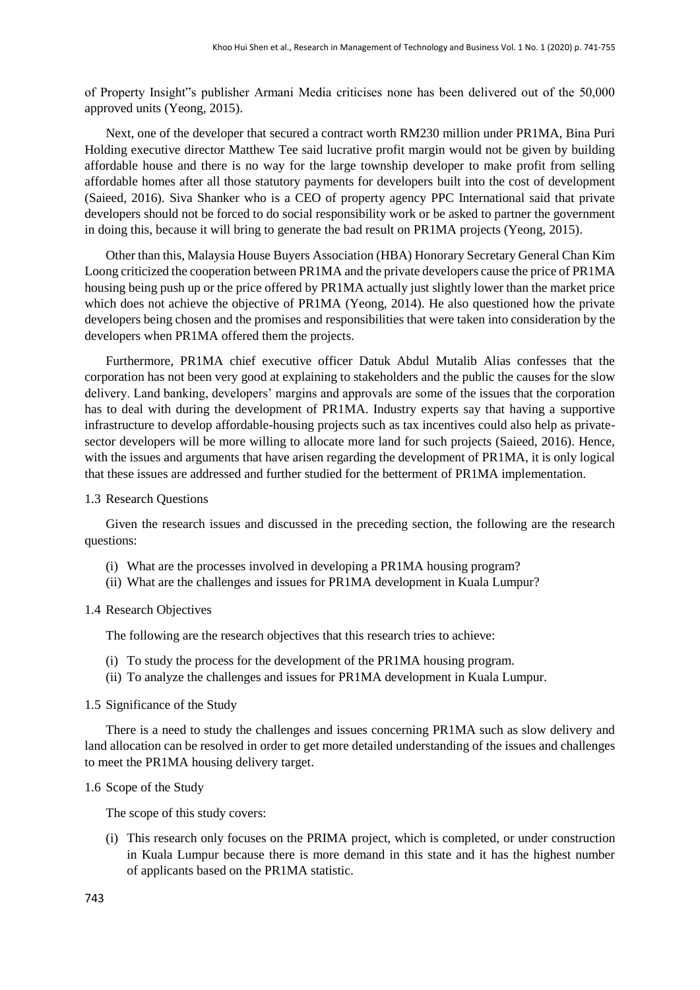of Property Insight"s publisher Armani Media criticises none has been delivered out of the 50,000 approved units (Yeong, 2015).

Next, one of the developer that secured a contract worth RM230 million under PR1MA, Bina Puri Holding executive director Matthew Tee said lucrative profit margin would not be given by building affordable house and there is no way for the large township developer to make profit from selling affordable homes after all those statutory payments for developers built into the cost of development (Saieed, 2016). Siva Shanker who is a CEO of property agency PPC International said that private developers should not be forced to do social responsibility work or be asked to partner the government in doing this, because it will bring to generate the bad result on PR1MA projects (Yeong, 2015).

Other than this, Malaysia House Buyers Association (HBA) Honorary Secretary General Chan Kim Loong criticized the cooperation between PR1MA and the private developers cause the price of PR1MA housing being push up or the price offered by PR1MA actually just slightly lower than the market price which does not achieve the objective of PR1MA (Yeong, 2014). He also questioned how the private developers being chosen and the promises and responsibilities that were taken into consideration by the developers when PR1MA offered them the projects.

Furthermore, PR1MA chief executive officer Datuk Abdul Mutalib Alias confesses that the corporation has not been very good at explaining to stakeholders and the public the causes for the slow delivery. Land banking, developers' margins and approvals are some of the issues that the corporation has to deal with during the development of PR1MA. Industry experts say that having a supportive infrastructure to develop affordable-housing projects such as tax incentives could also help as privatesector developers will be more willing to allocate more land for such projects (Saieed, 2016). Hence, with the issues and arguments that have arisen regarding the development of PR1MA, it is only logical that these issues are addressed and further studied for the betterment of PR1MA implementation.

#### 1.3 Research Questions

Given the research issues and discussed in the preceding section, the following are the research questions:

- (i) What are the processes involved in developing a PR1MA housing program?
- (ii) What are the challenges and issues for PR1MA development in Kuala Lumpur?

#### 1.4 Research Objectives

The following are the research objectives that this research tries to achieve:

- (i) To study the process for the development of the PR1MA housing program.
- (ii) To analyze the challenges and issues for PR1MA development in Kuala Lumpur.

#### 1.5 Significance of the Study

There is a need to study the challenges and issues concerning PR1MA such as slow delivery and land allocation can be resolved in order to get more detailed understanding of the issues and challenges to meet the PR1MA housing delivery target.

#### 1.6 Scope of the Study

The scope of this study covers:

(i) This research only focuses on the PRIMA project, which is completed, or under construction in Kuala Lumpur because there is more demand in this state and it has the highest number of applicants based on the PR1MA statistic.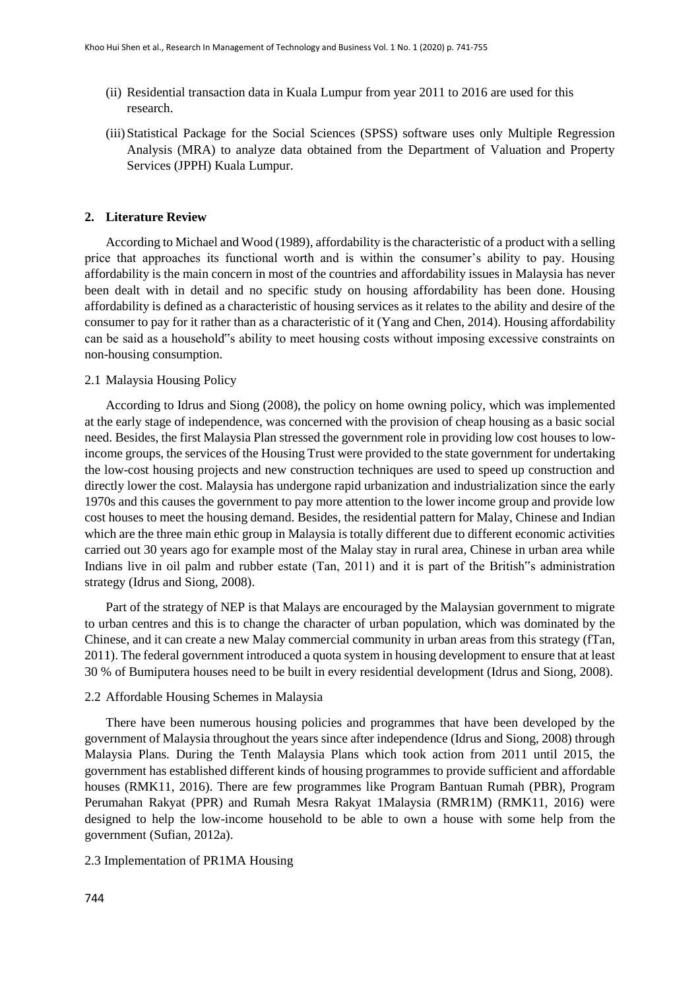- (ii) Residential transaction data in Kuala Lumpur from year 2011 to 2016 are used for this research.
- (iii)Statistical Package for the Social Sciences (SPSS) software uses only Multiple Regression Analysis (MRA) to analyze data obtained from the Department of Valuation and Property Services (JPPH) Kuala Lumpur.

#### **2. Literature Review**

According to Michael and Wood (1989), affordability is the characteristic of a product with a selling price that approaches its functional worth and is within the consumer's ability to pay. Housing affordability is the main concern in most of the countries and affordability issues in Malaysia has never been dealt with in detail and no specific study on housing affordability has been done. Housing affordability is defined as a characteristic of housing services as it relates to the ability and desire of the consumer to pay for it rather than as a characteristic of it (Yang and Chen, 2014). Housing affordability can be said as a household"s ability to meet housing costs without imposing excessive constraints on non-housing consumption.

#### 2.1 Malaysia Housing Policy

According to Idrus and Siong (2008), the policy on home owning policy, which was implemented at the early stage of independence, was concerned with the provision of cheap housing as a basic social need. Besides, the first Malaysia Plan stressed the government role in providing low cost houses to lowincome groups, the services of the Housing Trust were provided to the state government for undertaking the low-cost housing projects and new construction techniques are used to speed up construction and directly lower the cost. Malaysia has undergone rapid urbanization and industrialization since the early 1970s and this causes the government to pay more attention to the lower income group and provide low cost houses to meet the housing demand. Besides, the residential pattern for Malay, Chinese and Indian which are the three main ethic group in Malaysia is totally different due to different economic activities carried out 30 years ago for example most of the Malay stay in rural area, Chinese in urban area while Indians live in oil palm and rubber estate (Tan, 2011) and it is part of the British"s administration strategy (Idrus and Siong, 2008).

Part of the strategy of NEP is that Malays are encouraged by the Malaysian government to migrate to urban centres and this is to change the character of urban population, which was dominated by the Chinese, and it can create a new Malay commercial community in urban areas from this strategy (fTan, 2011). The federal government introduced a quota system in housing development to ensure that at least 30 % of Bumiputera houses need to be built in every residential development (Idrus and Siong, 2008).

#### 2.2 Affordable Housing Schemes in Malaysia

There have been numerous housing policies and programmes that have been developed by the government of Malaysia throughout the years since after independence (Idrus and Siong, 2008) through Malaysia Plans. During the Tenth Malaysia Plans which took action from 2011 until 2015, the government has established different kinds of housing programmes to provide sufficient and affordable houses (RMK11, 2016). There are few programmes like Program Bantuan Rumah (PBR), Program Perumahan Rakyat (PPR) and Rumah Mesra Rakyat 1Malaysia (RMR1M) (RMK11, 2016) were designed to help the low-income household to be able to own a house with some help from the government (Sufian, 2012a).

#### 2.3 Implementation of PR1MA Housing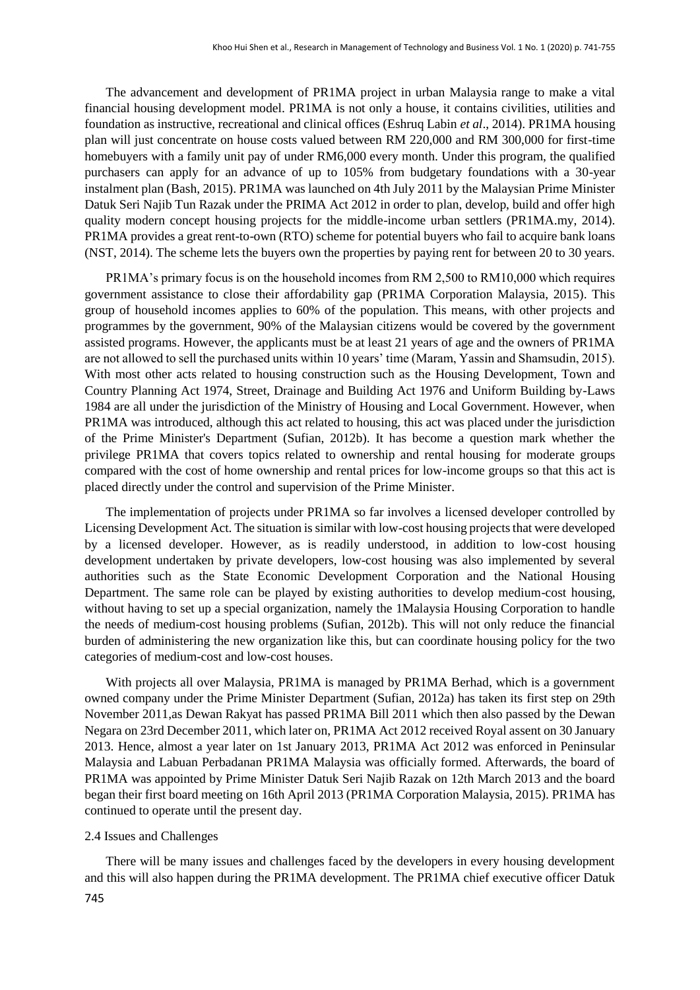The advancement and development of PR1MA project in urban Malaysia range to make a vital financial housing development model. PR1MA is not only a house, it contains civilities, utilities and foundation as instructive, recreational and clinical offices (Eshruq Labin *et al*., 2014). PR1MA housing plan will just concentrate on house costs valued between RM 220,000 and RM 300,000 for first-time homebuyers with a family unit pay of under RM6,000 every month. Under this program, the qualified purchasers can apply for an advance of up to 105% from budgetary foundations with a 30-year instalment plan (Bash, 2015). PR1MA was launched on 4th July 2011 by the Malaysian Prime Minister Datuk Seri Najib Tun Razak under the PRIMA Act 2012 in order to plan, develop, build and offer high quality modern concept housing projects for the middle-income urban settlers (PR1MA.my, 2014). PR1MA provides a great rent-to-own (RTO) scheme for potential buyers who fail to acquire bank loans (NST, 2014). The scheme lets the buyers own the properties by paying rent for between 20 to 30 years.

PR1MA's primary focus is on the household incomes from RM 2,500 to RM10,000 which requires government assistance to close their affordability gap (PR1MA Corporation Malaysia, 2015). This group of household incomes applies to 60% of the population. This means, with other projects and programmes by the government, 90% of the Malaysian citizens would be covered by the government assisted programs. However, the applicants must be at least 21 years of age and the owners of PR1MA are not allowed to sell the purchased units within 10 years' time (Maram, Yassin and Shamsudin, 2015). With most other acts related to housing construction such as the Housing Development, Town and Country Planning Act 1974, Street, Drainage and Building Act 1976 and Uniform Building by-Laws 1984 are all under the jurisdiction of the Ministry of Housing and Local Government. However, when PR1MA was introduced, although this act related to housing, this act was placed under the jurisdiction of the Prime Minister's Department (Sufian, 2012b). It has become a question mark whether the privilege PR1MA that covers topics related to ownership and rental housing for moderate groups compared with the cost of home ownership and rental prices for low-income groups so that this act is placed directly under the control and supervision of the Prime Minister.

The implementation of projects under PR1MA so far involves a licensed developer controlled by Licensing Development Act. The situation is similar with low-cost housing projects that were developed by a licensed developer. However, as is readily understood, in addition to low-cost housing development undertaken by private developers, low-cost housing was also implemented by several authorities such as the State Economic Development Corporation and the National Housing Department. The same role can be played by existing authorities to develop medium-cost housing, without having to set up a special organization, namely the 1Malaysia Housing Corporation to handle the needs of medium-cost housing problems (Sufian, 2012b). This will not only reduce the financial burden of administering the new organization like this, but can coordinate housing policy for the two categories of medium-cost and low-cost houses.

With projects all over Malaysia, PR1MA is managed by PR1MA Berhad, which is a government owned company under the Prime Minister Department (Sufian, 2012a) has taken its first step on 29th November 2011,as Dewan Rakyat has passed PR1MA Bill 2011 which then also passed by the Dewan Negara on 23rd December 2011, which later on, PR1MA Act 2012 received Royal assent on 30 January 2013. Hence, almost a year later on 1st January 2013, PR1MA Act 2012 was enforced in Peninsular Malaysia and Labuan Perbadanan PR1MA Malaysia was officially formed. Afterwards, the board of PR1MA was appointed by Prime Minister Datuk Seri Najib Razak on 12th March 2013 and the board began their first board meeting on 16th April 2013 (PR1MA Corporation Malaysia, 2015). PR1MA has continued to operate until the present day.

#### 2.4 Issues and Challenges

There will be many issues and challenges faced by the developers in every housing development and this will also happen during the PR1MA development. The PR1MA chief executive officer Datuk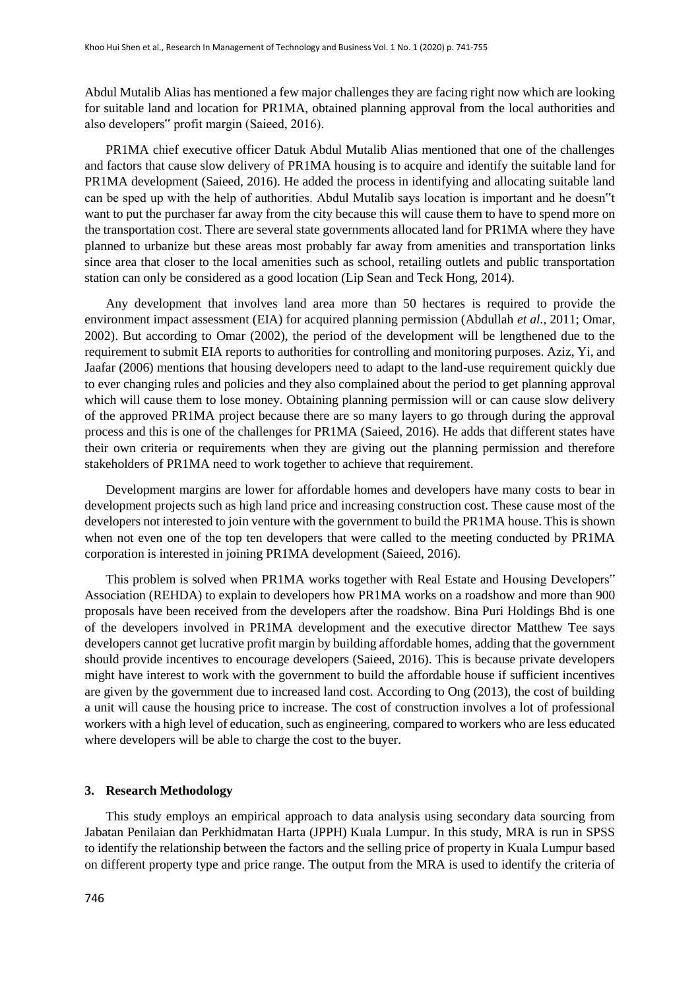Abdul Mutalib Alias has mentioned a few major challenges they are facing right now which are looking for suitable land and location for PR1MA, obtained planning approval from the local authorities and also developers" profit margin (Saieed, 2016).

PR1MA chief executive officer Datuk Abdul Mutalib Alias mentioned that one of the challenges and factors that cause slow delivery of PR1MA housing is to acquire and identify the suitable land for PR1MA development (Saieed, 2016). He added the process in identifying and allocating suitable land can be sped up with the help of authorities. Abdul Mutalib says location is important and he doesn"t want to put the purchaser far away from the city because this will cause them to have to spend more on the transportation cost. There are several state governments allocated land for PR1MA where they have planned to urbanize but these areas most probably far away from amenities and transportation links since area that closer to the local amenities such as school, retailing outlets and public transportation station can only be considered as a good location (Lip Sean and Teck Hong, 2014).

Any development that involves land area more than 50 hectares is required to provide the environment impact assessment (EIA) for acquired planning permission (Abdullah *et al.*, 2011; Omar, 2002). But according to Omar (2002), the period of the development will be lengthened due to the requirement to submit EIA reports to authorities for controlling and monitoring purposes. Aziz, Yi, and Jaafar (2006) mentions that housing developers need to adapt to the land-use requirement quickly due to ever changing rules and policies and they also complained about the period to get planning approval which will cause them to lose money. Obtaining planning permission will or can cause slow delivery of the approved PR1MA project because there are so many layers to go through during the approval process and this is one of the challenges for PR1MA (Saieed, 2016). He adds that different states have their own criteria or requirements when they are giving out the planning permission and therefore stakeholders of PR1MA need to work together to achieve that requirement.

Development margins are lower for affordable homes and developers have many costs to bear in development projects such as high land price and increasing construction cost. These cause most of the developers not interested to join venture with the government to build the PR1MA house. This is shown when not even one of the top ten developers that were called to the meeting conducted by PR1MA corporation is interested in joining PR1MA development (Saieed, 2016).

This problem is solved when PR1MA works together with Real Estate and Housing Developers" Association (REHDA) to explain to developers how PR1MA works on a roadshow and more than 900 proposals have been received from the developers after the roadshow. Bina Puri Holdings Bhd is one of the developers involved in PR1MA development and the executive director Matthew Tee says developers cannot get lucrative profit margin by building affordable homes, adding that the government should provide incentives to encourage developers (Saieed, 2016). This is because private developers might have interest to work with the government to build the affordable house if sufficient incentives are given by the government due to increased land cost. According to Ong (2013), the cost of building a unit will cause the housing price to increase. The cost of construction involves a lot of professional workers with a high level of education, such as engineering, compared to workers who are less educated where developers will be able to charge the cost to the buyer.

#### **3. Research Methodology**

This study employs an empirical approach to data analysis using secondary data sourcing from Jabatan Penilaian dan Perkhidmatan Harta (JPPH) Kuala Lumpur. In this study, MRA is run in SPSS to identify the relationship between the factors and the selling price of property in Kuala Lumpur based on different property type and price range. The output from the MRA is used to identify the criteria of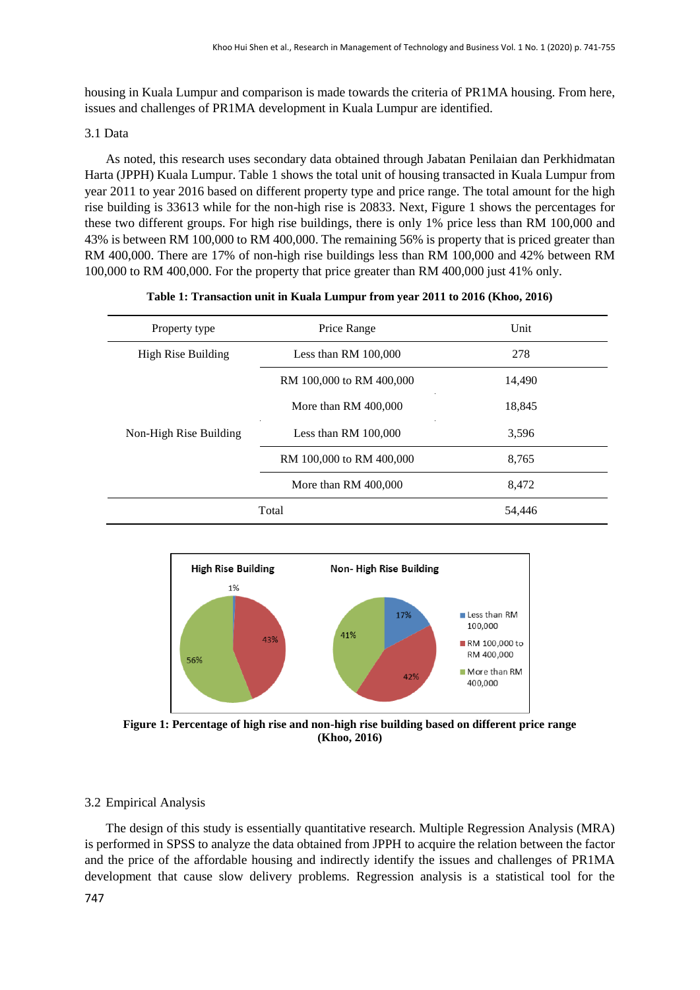housing in Kuala Lumpur and comparison is made towards the criteria of PR1MA housing. From here, issues and challenges of PR1MA development in Kuala Lumpur are identified.

#### 3.1 Data

As noted, this research uses secondary data obtained through Jabatan Penilaian dan Perkhidmatan Harta (JPPH) Kuala Lumpur. Table 1 shows the total unit of housing transacted in Kuala Lumpur from year 2011 to year 2016 based on different property type and price range. The total amount for the high rise building is 33613 while for the non-high rise is 20833. Next, Figure 1 shows the percentages for these two different groups. For high rise buildings, there is only 1% price less than RM 100,000 and 43% is between RM 100,000 to RM 400,000. The remaining 56% is property that is priced greater than RM 400,000. There are 17% of non-high rise buildings less than RM 100,000 and 42% between RM 100,000 to RM 400,000. For the property that price greater than RM 400,000 just 41% only.

| Property type          | Price Range              | Unit   |
|------------------------|--------------------------|--------|
| High Rise Building     | Less than RM $100,000$   | 278    |
|                        | RM 100,000 to RM 400,000 | 14,490 |
|                        | More than RM 400,000     | 18,845 |
| Non-High Rise Building | Less than RM $100,000$   | 3,596  |
|                        | RM 100,000 to RM 400,000 | 8,765  |
|                        | More than RM 400,000     | 8,472  |
| Total                  |                          | 54,446 |



**Figure 1: Percentage of high rise and non-high rise building based on different price range (Khoo, 2016)** 

#### 3.2 Empirical Analysis

The design of this study is essentially quantitative research. Multiple Regression Analysis (MRA) is performed in SPSS to analyze the data obtained from JPPH to acquire the relation between the factor and the price of the affordable housing and indirectly identify the issues and challenges of PR1MA development that cause slow delivery problems. Regression analysis is a statistical tool for the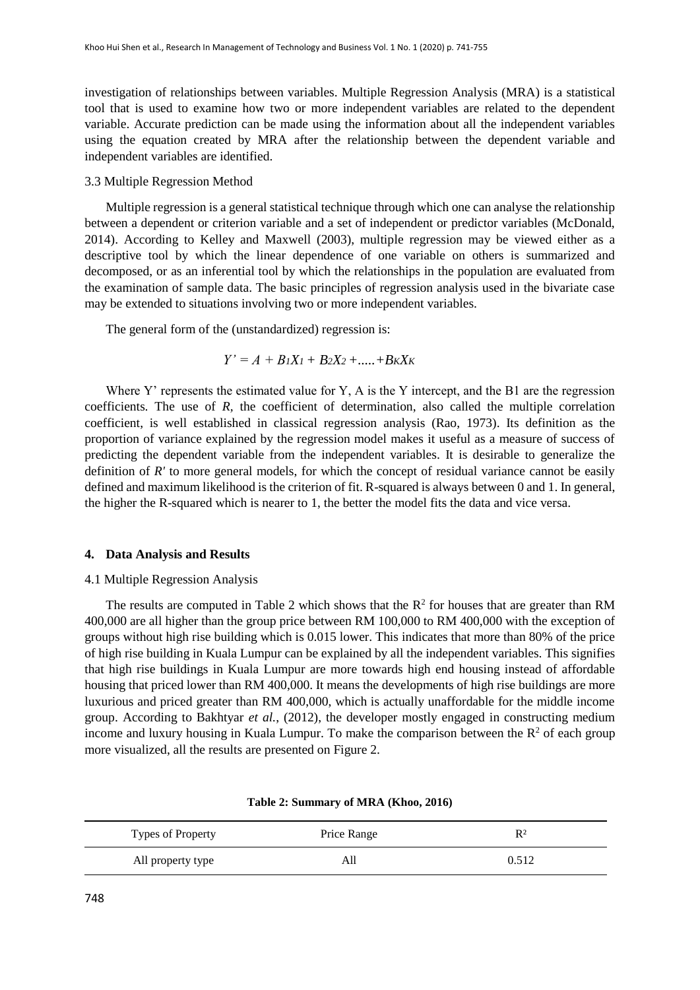investigation of relationships between variables. Multiple Regression Analysis (MRA) is a statistical tool that is used to examine how two or more independent variables are related to the dependent variable. Accurate prediction can be made using the information about all the independent variables using the equation created by MRA after the relationship between the dependent variable and independent variables are identified.

#### 3.3 Multiple Regression Method

Multiple regression is a general statistical technique through which one can analyse the relationship between a dependent or criterion variable and a set of independent or predictor variables (McDonald, 2014). According to Kelley and Maxwell (2003), multiple regression may be viewed either as a descriptive tool by which the linear dependence of one variable on others is summarized and decomposed, or as an inferential tool by which the relationships in the population are evaluated from the examination of sample data. The basic principles of regression analysis used in the bivariate case may be extended to situations involving two or more independent variables.

The general form of the (unstandardized) regression is:

$$
Y'=A+B_1X_1+B_2X_2+.....+B_KX_K
$$

Where Y' represents the estimated value for Y, A is the Y intercept, and the B1 are the regression coefficients. The use of *R*, the coefficient of determination, also called the multiple correlation coefficient, is well established in classical regression analysis (Rao, 1973). Its definition as the proportion of variance explained by the regression model makes it useful as a measure of success of predicting the dependent variable from the independent variables. It is desirable to generalize the definition of *R'* to more general models, for which the concept of residual variance cannot be easily defined and maximum likelihood is the criterion of fit. R-squared is always between 0 and 1. In general, the higher the R-squared which is nearer to 1, the better the model fits the data and vice versa.

#### **4. Data Analysis and Results**

#### 4.1 Multiple Regression Analysis

The results are computed in Table 2 which shows that the  $R^2$  for houses that are greater than RM 400,000 are all higher than the group price between RM 100,000 to RM 400,000 with the exception of groups without high rise building which is 0.015 lower. This indicates that more than 80% of the price of high rise building in Kuala Lumpur can be explained by all the independent variables. This signifies that high rise buildings in Kuala Lumpur are more towards high end housing instead of affordable housing that priced lower than RM 400,000. It means the developments of high rise buildings are more luxurious and priced greater than RM 400,000, which is actually unaffordable for the middle income group. According to Bakhtyar *et al.*, (2012), the developer mostly engaged in constructing medium income and luxury housing in Kuala Lumpur. To make the comparison between the  $R<sup>2</sup>$  of each group more visualized, all the results are presented on Figure 2.

| Types of Property | Price Range | $R^2$ |
|-------------------|-------------|-------|
| All property type | AШ          | 0.512 |

| Table 2: Summary of MRA (Khoo, 2016) |  |  |  |
|--------------------------------------|--|--|--|
|--------------------------------------|--|--|--|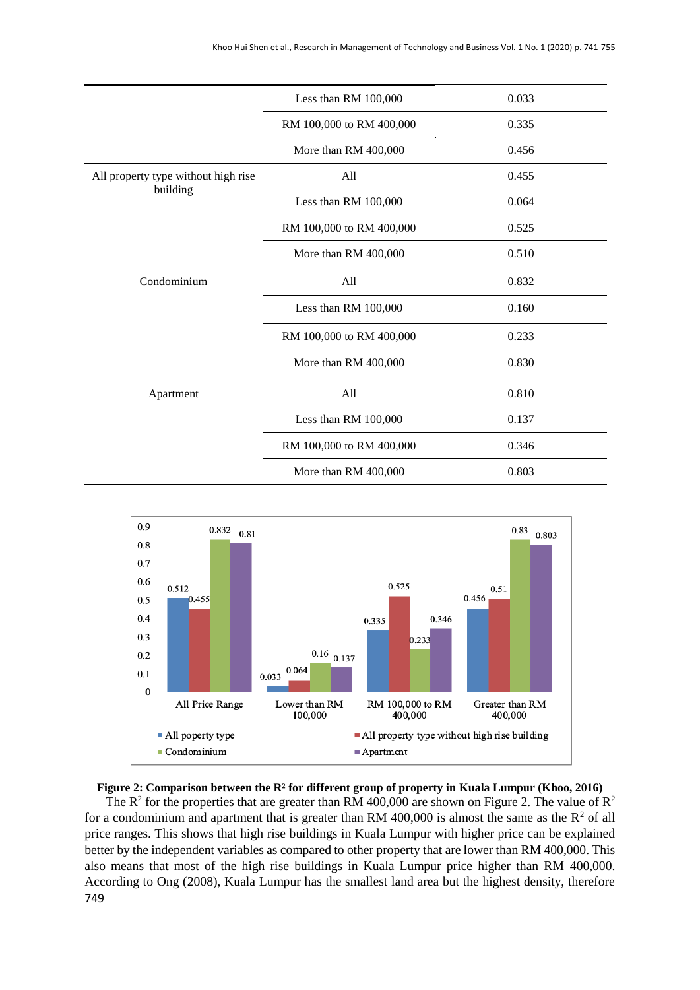|                                     | Less than RM 100,000     | 0.033 |
|-------------------------------------|--------------------------|-------|
|                                     | RM 100,000 to RM 400,000 | 0.335 |
|                                     | More than RM 400,000     | 0.456 |
| All property type without high rise | All                      | 0.455 |
| building                            | Less than RM 100,000     | 0.064 |
|                                     | RM 100,000 to RM 400,000 | 0.525 |
|                                     | More than RM 400,000     | 0.510 |
| Condominium                         | All                      | 0.832 |
|                                     | Less than RM 100,000     | 0.160 |
|                                     | RM 100,000 to RM 400,000 | 0.233 |
|                                     | More than RM 400,000     | 0.830 |
| Apartment                           | All                      | 0.810 |
|                                     | Less than RM 100,000     | 0.137 |
|                                     | RM 100,000 to RM 400,000 | 0.346 |
|                                     | More than RM 400,000     | 0.803 |



#### **Figure 2: Comparison between the R² for different group of property in Kuala Lumpur (Khoo, 2016)**

749 The  $R^2$  for the properties that are greater than RM 400,000 are shown on Figure 2. The value of  $R^2$ for a condominium and apartment that is greater than RM 400,000 is almost the same as the  $R^2$  of all price ranges. This shows that high rise buildings in Kuala Lumpur with higher price can be explained better by the independent variables as compared to other property that are lower than RM 400,000. This also means that most of the high rise buildings in Kuala Lumpur price higher than RM 400,000. According to Ong (2008), Kuala Lumpur has the smallest land area but the highest density, therefore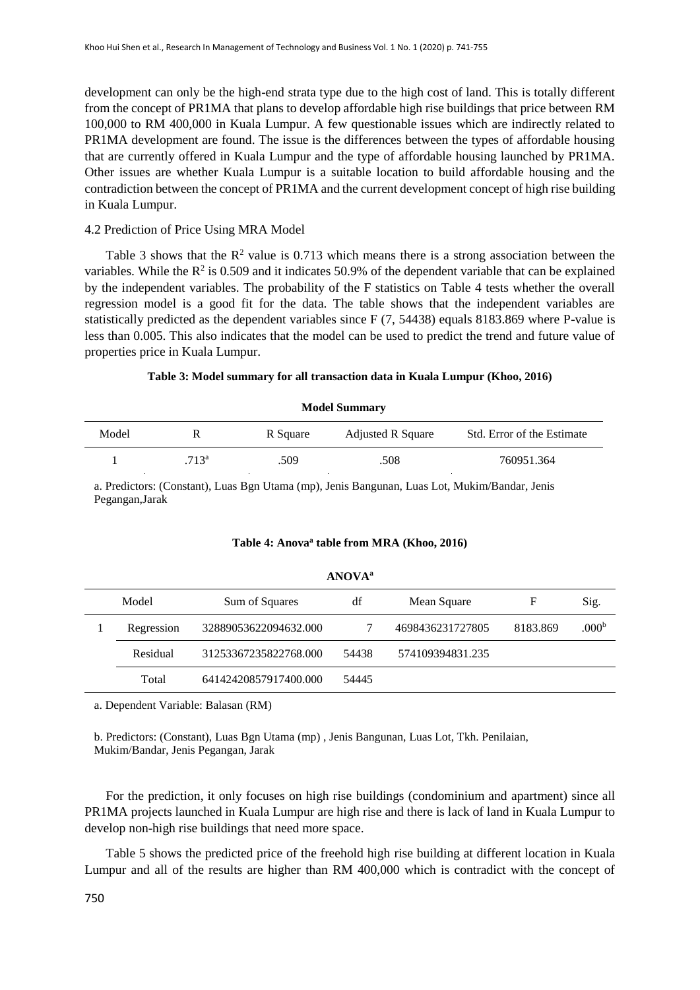development can only be the high-end strata type due to the high cost of land. This is totally different from the concept of PR1MA that plans to develop affordable high rise buildings that price between RM 100,000 to RM 400,000 in Kuala Lumpur. A few questionable issues which are indirectly related to PR1MA development are found. The issue is the differences between the types of affordable housing that are currently offered in Kuala Lumpur and the type of affordable housing launched by PR1MA. Other issues are whether Kuala Lumpur is a suitable location to build affordable housing and the contradiction between the concept of PR1MA and the current development concept of high rise building in Kuala Lumpur.

#### 4.2 Prediction of Price Using MRA Model

Table 3 shows that the  $\mathbb{R}^2$  value is 0.713 which means there is a strong association between the variables. While the  $R^2$  is 0.509 and it indicates 50.9% of the dependent variable that can be explained by the independent variables. The probability of the F statistics on Table 4 tests whether the overall regression model is a good fit for the data. The table shows that the independent variables are statistically predicted as the dependent variables since F (7, 54438) equals 8183.869 where P-value is less than 0.005. This also indicates that the model can be used to predict the trend and future value of properties price in Kuala Lumpur.

#### **Table 3: Model summary for all transaction data in Kuala Lumpur (Khoo, 2016)**

| Model |                   | R Square | <b>Adjusted R Square</b> | Std. Error of the Estimate |
|-------|-------------------|----------|--------------------------|----------------------------|
|       | .713 <sup>a</sup> | .509     | .508                     | 760951.364                 |

**Model Summary**

a. Predictors: (Constant), Luas Bgn Utama (mp), Jenis Bangunan, Luas Lot, Mukim/Bandar, Jenis Pegangan,Jarak

#### **Table 4: Anova<sup>a</sup> table from MRA (Khoo, 2016)**

| Model      | Sum of Squares        | df    | Mean Square      | F        | Sig.              |
|------------|-----------------------|-------|------------------|----------|-------------------|
| Regression | 32889053622094632.000 |       | 4698436231727805 | 8183.869 | .000 <sup>b</sup> |
| Residual   | 31253367235822768.000 | 54438 | 574109394831.235 |          |                   |
| Total      | 64142420857917400.000 | 54445 |                  |          |                   |

#### **ANOVA<sup>a</sup>**

a. Dependent Variable: Balasan (RM)

b. Predictors: (Constant), Luas Bgn Utama (mp) , Jenis Bangunan, Luas Lot, Tkh. Penilaian, Mukim/Bandar, Jenis Pegangan, Jarak

For the prediction, it only focuses on high rise buildings (condominium and apartment) since all PR1MA projects launched in Kuala Lumpur are high rise and there is lack of land in Kuala Lumpur to develop non-high rise buildings that need more space.

Table 5 shows the predicted price of the freehold high rise building at different location in Kuala Lumpur and all of the results are higher than RM 400,000 which is contradict with the concept of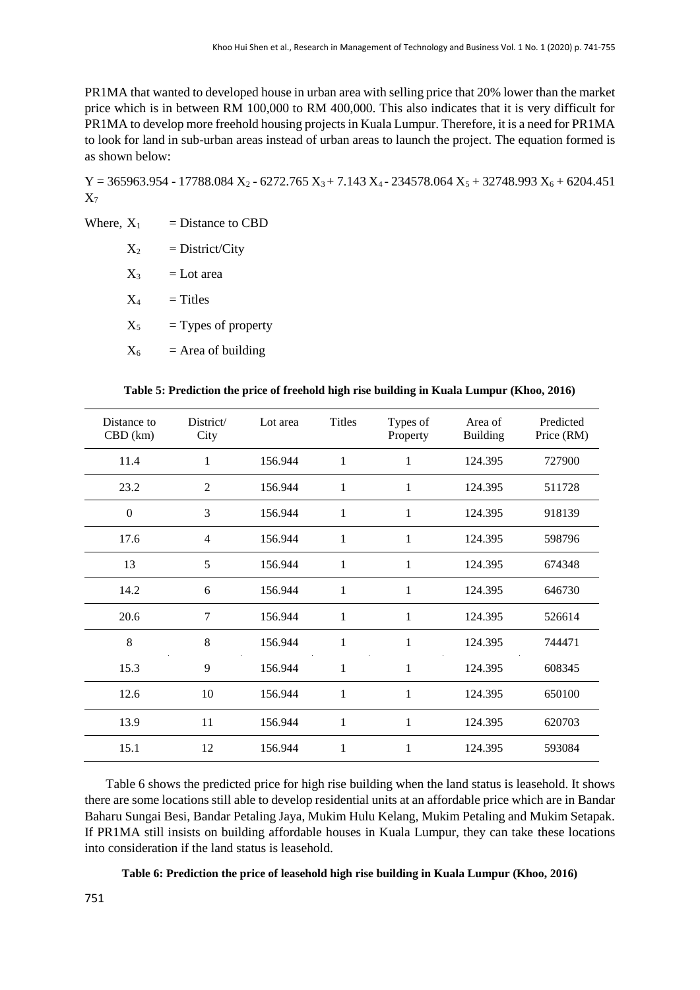PR1MA that wanted to developed house in urban area with selling price that 20% lower than the market price which is in between RM 100,000 to RM 400,000. This also indicates that it is very difficult for PR1MA to develop more freehold housing projects in Kuala Lumpur. Therefore, it is a need for PR1MA to look for land in sub-urban areas instead of urban areas to launch the project. The equation formed is as shown below:

 $Y = 365963.954 - 17788.084 X_2 - 6272.765 X_3 + 7.143 X_4 - 234578.064 X_5 + 32748.993 X_6 + 6204.451$  $X_7$ 

Where,  $X_1$  = Distance to CBD

| $\mathrm{X}_2$ | $=$ District/City     |
|----------------|-----------------------|
| $\mathrm{X}_3$ | $=$ Lot area          |
| $\rm X_4$      | $=$ Titles            |
| $\mathrm{X}_5$ | $=$ Types of property |
| $\rm X_6$      | $=$ Area of building  |
|                |                       |

| Table 5: Prediction the price of freehold high rise building in Kuala Lumpur (Khoo, 2016) |  |  |  |  |  |  |
|-------------------------------------------------------------------------------------------|--|--|--|--|--|--|
|-------------------------------------------------------------------------------------------|--|--|--|--|--|--|

| Distance to<br>$CBD$ (km) | District/<br>City | Lot area | <b>Titles</b> | Types of<br>Property | Area of<br><b>Building</b> | Predicted<br>Price (RM) |
|---------------------------|-------------------|----------|---------------|----------------------|----------------------------|-------------------------|
| 11.4                      | 1                 | 156.944  | 1             |                      | 124.395                    | 727900                  |
| 23.2                      | $\overline{2}$    | 156.944  | 1             | 1                    | 124.395                    | 511728                  |
| $\mathbf{0}$              | 3                 | 156.944  | 1             | 1                    | 124.395                    | 918139                  |
| 17.6                      | $\overline{4}$    | 156.944  | 1             | 1                    | 124.395                    | 598796                  |
| 13                        | 5                 | 156.944  | 1             | 1                    | 124.395                    | 674348                  |
| 14.2                      | 6                 | 156.944  | $\mathbf{1}$  | 1                    | 124.395                    | 646730                  |
| 20.6                      | 7                 | 156.944  | 1             | 1                    | 124.395                    | 526614                  |
| 8                         | 8                 | 156.944  | 1             | 1                    | 124.395                    | 744471                  |
| 15.3                      | 9                 | 156.944  | 1             | 1                    | 124.395                    | 608345                  |
| 12.6                      | 10                | 156.944  | 1             | 1                    | 124.395                    | 650100                  |
| 13.9                      | 11                | 156.944  | 1             | 1                    | 124.395                    | 620703                  |
| 15.1                      | 12                | 156.944  | 1             | 1                    | 124.395                    | 593084                  |

Table 6 shows the predicted price for high rise building when the land status is leasehold. It shows there are some locations still able to develop residential units at an affordable price which are in Bandar Baharu Sungai Besi, Bandar Petaling Jaya, Mukim Hulu Kelang, Mukim Petaling and Mukim Setapak. If PR1MA still insists on building affordable houses in Kuala Lumpur, they can take these locations into consideration if the land status is leasehold.

**Table 6: Prediction the price of leasehold high rise building in Kuala Lumpur (Khoo, 2016)**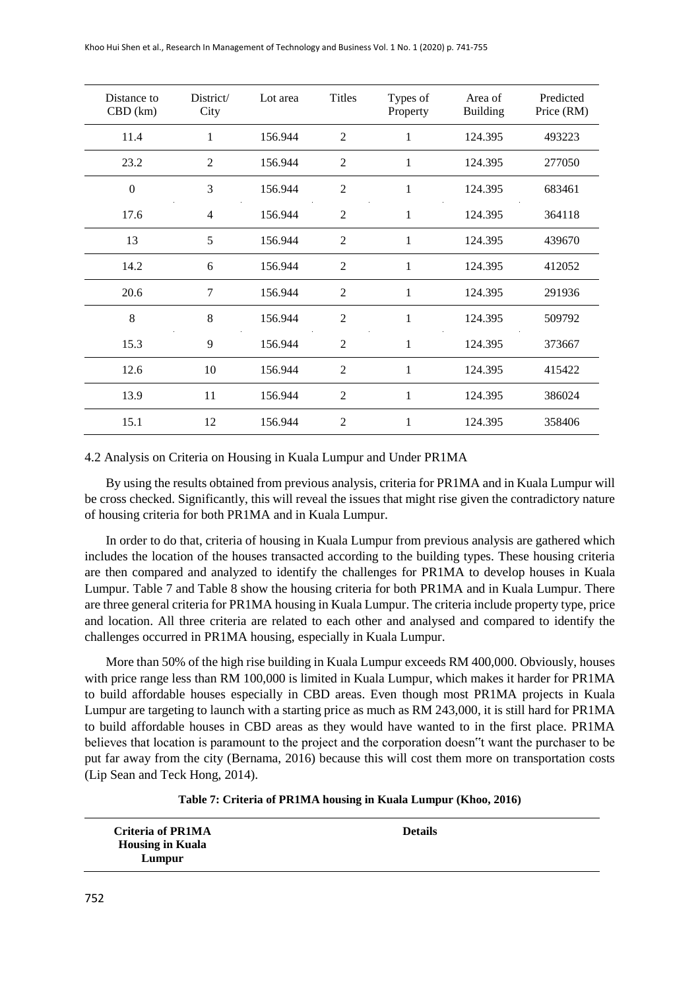| Distance to<br>$CBD$ (km) | District/<br>City | Lot area | Titles         | Types of<br>Property | Area of<br><b>Building</b> | Predicted<br>Price (RM) |
|---------------------------|-------------------|----------|----------------|----------------------|----------------------------|-------------------------|
| 11.4                      | 1                 | 156.944  | $\overline{2}$ | 1                    | 124.395                    | 493223                  |
| 23.2                      | $\overline{2}$    | 156.944  | $\overline{2}$ | 1                    | 124.395                    | 277050                  |
| $\theta$                  | 3                 | 156.944  | $\overline{2}$ | 1                    | 124.395                    | 683461                  |
| 17.6                      | $\overline{4}$    | 156.944  | $\overline{2}$ | 1                    | 124.395                    | 364118                  |
| 13                        | 5                 | 156.944  | $\overline{2}$ | 1                    | 124.395                    | 439670                  |
| 14.2                      | 6                 | 156.944  | $\overline{2}$ | 1                    | 124.395                    | 412052                  |
| 20.6                      | 7                 | 156.944  | $\overline{2}$ | 1                    | 124.395                    | 291936                  |
| 8                         | 8                 | 156.944  | $\overline{2}$ | 1                    | 124.395                    | 509792                  |
| 15.3                      | 9                 | 156.944  | $\overline{2}$ | 1                    | 124.395                    | 373667                  |
| 12.6                      | 10                | 156.944  | $\overline{2}$ | 1                    | 124.395                    | 415422                  |
| 13.9                      | 11                | 156.944  | $\overline{2}$ | 1                    | 124.395                    | 386024                  |
| 15.1                      | 12                | 156.944  | $\overline{2}$ | 1                    | 124.395                    | 358406                  |

#### 4.2 Analysis on Criteria on Housing in Kuala Lumpur and Under PR1MA

By using the results obtained from previous analysis, criteria for PR1MA and in Kuala Lumpur will be cross checked. Significantly, this will reveal the issues that might rise given the contradictory nature of housing criteria for both PR1MA and in Kuala Lumpur.

In order to do that, criteria of housing in Kuala Lumpur from previous analysis are gathered which includes the location of the houses transacted according to the building types. These housing criteria are then compared and analyzed to identify the challenges for PR1MA to develop houses in Kuala Lumpur. Table 7 and Table 8 show the housing criteria for both PR1MA and in Kuala Lumpur. There are three general criteria for PR1MA housing in Kuala Lumpur. The criteria include property type, price and location. All three criteria are related to each other and analysed and compared to identify the challenges occurred in PR1MA housing, especially in Kuala Lumpur.

More than 50% of the high rise building in Kuala Lumpur exceeds RM 400,000. Obviously, houses with price range less than RM 100,000 is limited in Kuala Lumpur, which makes it harder for PR1MA to build affordable houses especially in CBD areas. Even though most PR1MA projects in Kuala Lumpur are targeting to launch with a starting price as much as RM 243,000, it is still hard for PR1MA to build affordable houses in CBD areas as they would have wanted to in the first place. PR1MA believes that location is paramount to the project and the corporation doesn"t want the purchaser to be put far away from the city (Bernama, 2016) because this will cost them more on transportation costs (Lip Sean and Teck Hong, 2014).

#### **Table 7: Criteria of PR1MA housing in Kuala Lumpur (Khoo, 2016)**

| <b>Criteria of PR1MA</b> | <b>Details</b> |
|--------------------------|----------------|
| <b>Housing in Kuala</b>  |                |
| Lumpur                   |                |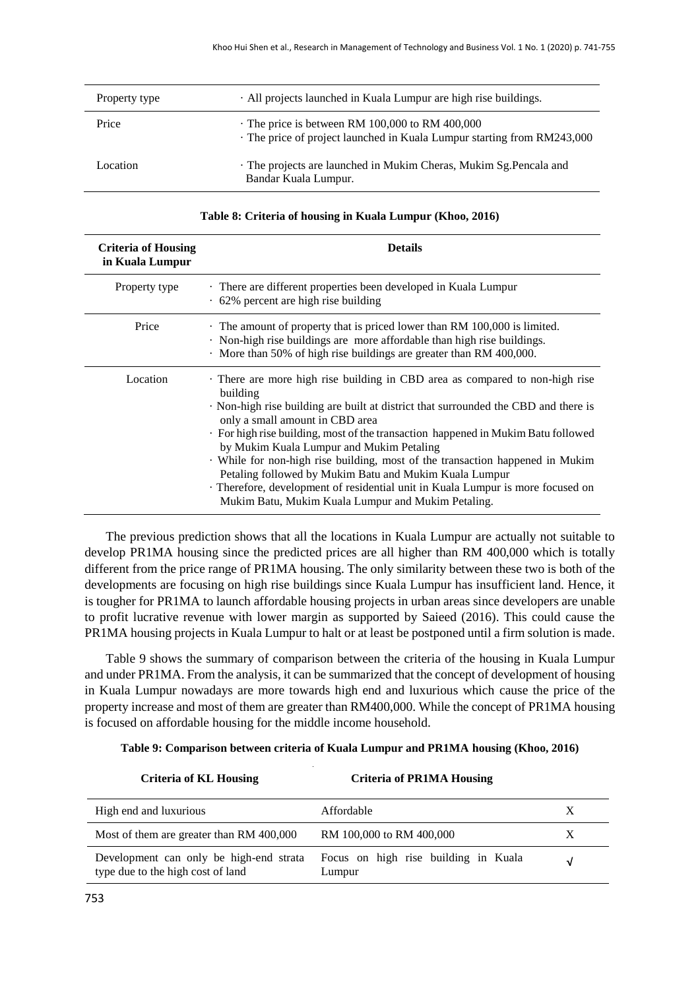| Property type | · All projects launched in Kuala Lumpur are high rise buildings.                                                               |
|---------------|--------------------------------------------------------------------------------------------------------------------------------|
| Price         | $\cdot$ The price is between RM 100,000 to RM 400,000<br>The price of project launched in Kuala Lumpur starting from RM243,000 |
| Location      | The projects are launched in Mukim Cheras, Mukim Sg. Pencala and<br>Bandar Kuala Lumpur.                                       |

| Table 8: Criteria of housing in Kuala Lumpur (Khoo, 2016) |  |
|-----------------------------------------------------------|--|
|-----------------------------------------------------------|--|

| <b>Criteria of Housing</b><br>in Kuala Lumpur | <b>Details</b>                                                                                                                                                                                                                                                                                                                                                                                                                                                                                                                                                                                                                      |  |
|-----------------------------------------------|-------------------------------------------------------------------------------------------------------------------------------------------------------------------------------------------------------------------------------------------------------------------------------------------------------------------------------------------------------------------------------------------------------------------------------------------------------------------------------------------------------------------------------------------------------------------------------------------------------------------------------------|--|
| Property type                                 | · There are different properties been developed in Kuala Lumpur<br>$\cdot$ 62% percent are high rise building                                                                                                                                                                                                                                                                                                                                                                                                                                                                                                                       |  |
| Price                                         | · The amount of property that is priced lower than RM 100,000 is limited.<br>Non-high rise buildings are more affordable than high rise buildings.<br>More than 50% of high rise buildings are greater than RM 400,000.                                                                                                                                                                                                                                                                                                                                                                                                             |  |
| Location                                      | . There are more high rise building in CBD area as compared to non-high rise<br>building<br>Non-high rise building are built at district that surrounded the CBD and there is<br>only a small amount in CBD area<br>. For high rise building, most of the transaction happened in Mukim Batu followed<br>by Mukim Kuala Lumpur and Mukim Petaling<br>· While for non-high rise building, most of the transaction happened in Mukim<br>Petaling followed by Mukim Batu and Mukim Kuala Lumpur<br>Therefore, development of residential unit in Kuala Lumpur is more focused on<br>Mukim Batu, Mukim Kuala Lumpur and Mukim Petaling. |  |

The previous prediction shows that all the locations in Kuala Lumpur are actually not suitable to develop PR1MA housing since the predicted prices are all higher than RM 400,000 which is totally different from the price range of PR1MA housing. The only similarity between these two is both of the developments are focusing on high rise buildings since Kuala Lumpur has insufficient land. Hence, it is tougher for PR1MA to launch affordable housing projects in urban areas since developers are unable to profit lucrative revenue with lower margin as supported by Saieed (2016). This could cause the PR1MA housing projects in Kuala Lumpur to halt or at least be postponed until a firm solution is made.

Table 9 shows the summary of comparison between the criteria of the housing in Kuala Lumpur and under PR1MA. From the analysis, it can be summarized that the concept of development of housing in Kuala Lumpur nowadays are more towards high end and luxurious which cause the price of the property increase and most of them are greater than RM400,000. While the concept of PR1MA housing is focused on affordable housing for the middle income household.

|  | Table 9: Comparison between criteria of Kuala Lumpur and PR1MA housing (Khoo, 2016) |  |
|--|-------------------------------------------------------------------------------------|--|
|  |                                                                                     |  |

| <b>Criteria of KL Housing</b>                                                | <b>Criteria of PR1MA Housing</b>               |            |
|------------------------------------------------------------------------------|------------------------------------------------|------------|
| High end and luxurious                                                       | Affordable                                     |            |
| Most of them are greater than RM 400,000                                     | RM 100,000 to RM 400,000                       |            |
| Development can only be high-end strata<br>type due to the high cost of land | Focus on high rise building in Kuala<br>Lumpur | $\sqrt{ }$ |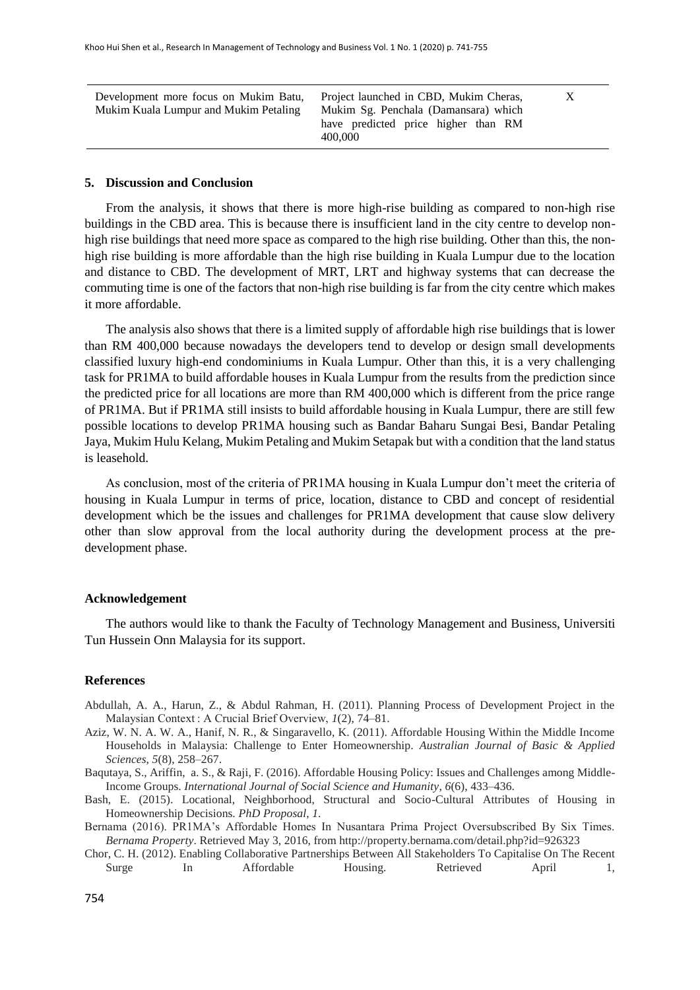Development more focus on Mukim Batu, Mukim Kuala Lumpur and Mukim Petaling

Project launched in CBD, Mukim Cheras, Mukim Sg. Penchala (Damansara) which have predicted price higher than RM 400,000

X

#### **5. Discussion and Conclusion**

From the analysis, it shows that there is more high-rise building as compared to non-high rise buildings in the CBD area. This is because there is insufficient land in the city centre to develop nonhigh rise buildings that need more space as compared to the high rise building. Other than this, the nonhigh rise building is more affordable than the high rise building in Kuala Lumpur due to the location and distance to CBD. The development of MRT, LRT and highway systems that can decrease the commuting time is one of the factors that non-high rise building is far from the city centre which makes it more affordable.

The analysis also shows that there is a limited supply of affordable high rise buildings that is lower than RM 400,000 because nowadays the developers tend to develop or design small developments classified luxury high-end condominiums in Kuala Lumpur. Other than this, it is a very challenging task for PR1MA to build affordable houses in Kuala Lumpur from the results from the prediction since the predicted price for all locations are more than RM 400,000 which is different from the price range of PR1MA. But if PR1MA still insists to build affordable housing in Kuala Lumpur, there are still few possible locations to develop PR1MA housing such as Bandar Baharu Sungai Besi, Bandar Petaling Jaya, Mukim Hulu Kelang, Mukim Petaling and Mukim Setapak but with a condition that the land status is leasehold.

As conclusion, most of the criteria of PR1MA housing in Kuala Lumpur don't meet the criteria of housing in Kuala Lumpur in terms of price, location, distance to CBD and concept of residential development which be the issues and challenges for PR1MA development that cause slow delivery other than slow approval from the local authority during the development process at the predevelopment phase.

#### **Acknowledgement**

The authors would like to thank the Faculty of Technology Management and Business, Universiti Tun Hussein Onn Malaysia for its support.

#### **References**

- Abdullah, A. A., Harun, Z., & Abdul Rahman, H. (2011). Planning Process of Development Project in the Malaysian Context : A Crucial Brief Overview, *1*(2), 74–81.
- Aziz, W. N. A. W. A., Hanif, N. R., & Singaravello, K. (2011). Affordable Housing Within the Middle Income Households in Malaysia: Challenge to Enter Homeownership. *Australian Journal of Basic & Applied Sciences*, *5*(8), 258–267.
- Baqutaya, S., Ariffin, a. S., & Raji, F. (2016). Affordable Housing Policy: Issues and Challenges among Middle-Income Groups. *International Journal of Social Science and Humanity*, *6*(6), 433–436.
- Bash, E. (2015). Locational, Neighborhood, Structural and Socio-Cultural Attributes of Housing in Homeownership Decisions. *PhD Proposal*, *1*.
- Bernama (2016). PR1MA's Affordable Homes In Nusantara Prima Project Oversubscribed By Six Times. *Bernama Property*. Retrieved May 3, 2016, from http://property.bernama.com/detail.php?id=926323
- Chor, C. H. (2012). Enabling Collaborative Partnerships Between All Stakeholders To Capitalise On The Recent Surge In Affordable Housing. Retrieved April 1,